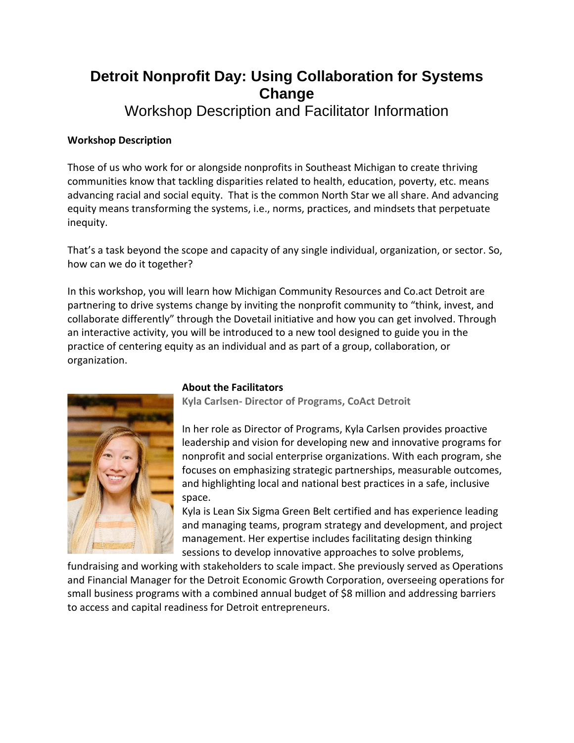## **Detroit Nonprofit Day: Using Collaboration for Systems Change**

Workshop Description and Facilitator Information

## **Workshop Description**

Those of us who work for or alongside nonprofits in Southeast Michigan to create thriving communities know that tackling disparities related to health, education, poverty, etc. means advancing racial and social equity. That is the common North Star we all share. And advancing equity means transforming the systems, i.e., norms, practices, and mindsets that perpetuate inequity.

That's a task beyond the scope and capacity of any single individual, organization, or sector. So, how can we do it together?

In this workshop, you will learn how Michigan Community Resources and Co.act Detroit are partnering to drive systems change by inviting the nonprofit community to "think, invest, and collaborate differently" through the Dovetail initiative and how you can get involved. Through an interactive activity, you will be introduced to a new tool designed to guide you in the practice of centering equity as an individual and as part of a group, collaboration, or organization.



## **About the Facilitators**

**Kyla Carlsen- Director of Programs, CoAct Detroit**

In her role as Director of Programs, Kyla Carlsen provides proactive leadership and vision for developing new and innovative programs for nonprofit and social enterprise organizations. With each program, she focuses on emphasizing strategic partnerships, measurable outcomes, and highlighting local and national best practices in a safe, inclusive space.

Kyla is Lean Six Sigma Green Belt certified and has experience leading and managing teams, program strategy and development, and project management. Her expertise includes facilitating design thinking sessions to develop innovative approaches to solve problems,

fundraising and working with stakeholders to scale impact. She previously served as Operations and Financial Manager for the Detroit Economic Growth Corporation, overseeing operations for small business programs with a combined annual budget of \$8 million and addressing barriers to access and capital readiness for Detroit entrepreneurs.